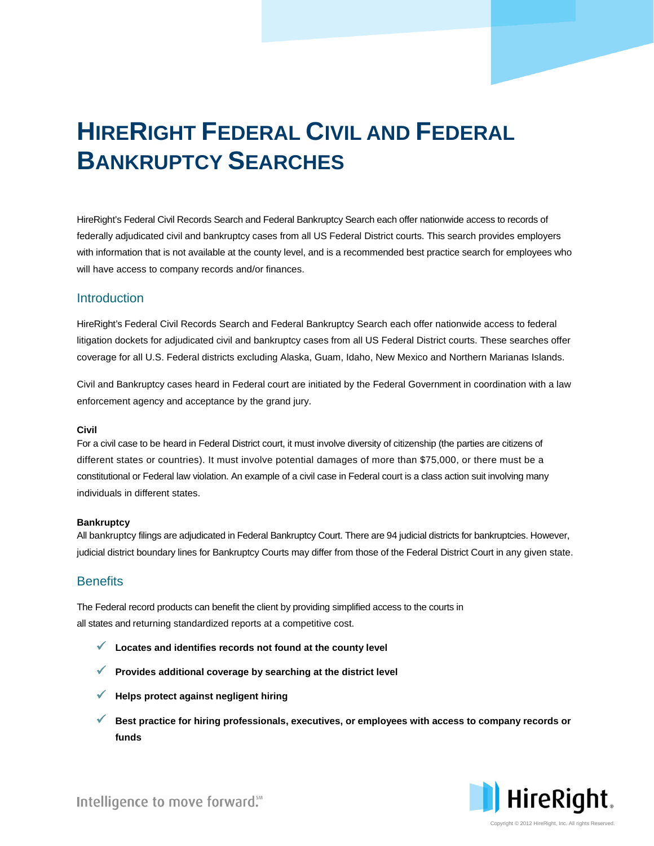# **HIRERIGHT FEDERAL CIVIL AND FEDERAL BANKRUPTCY SEARCHES**

HireRight's Federal Civil Records Search and Federal Bankruptcy Search each offer nationwide access to records of federally adjudicated civil and bankruptcy cases from all US Federal District courts. This search provides employers with information that is not available at the county level, and is a recommended best practice search for employees who will have access to company records and/or finances.

# **Introduction**

HireRight's Federal Civil Records Search and Federal Bankruptcy Search each offer nationwide access to federal litigation dockets for adjudicated civil and bankruptcy cases from all US Federal District courts. These searches offer coverage for all U.S. Federal districts excluding Alaska, Guam, Idaho, New Mexico and Northern Marianas Islands.

Civil and Bankruptcy cases heard in Federal court are initiated by the Federal Government in coordination with a law enforcement agency and acceptance by the grand jury.

#### **Civil**

For a civil case to be heard in Federal District court, it must involve diversity of citizenship (the parties are citizens of different states or countries). It must involve potential damages of more than \$75,000, or there must be a constitutional or Federal law violation. An example of a civil case in Federal court is a class action suit involving many individuals in different states.

#### **Bankruptcy**

All bankruptcy filings are adjudicated in Federal Bankruptcy Court. There are 94 judicial districts for bankruptcies. However, judicial district boundary lines for Bankruptcy Courts may differ from those of the Federal District Court in any given state.

# **Benefits**

The Federal record products can benefit the client by providing simplified access to the courts in all states and returning standardized reports at a competitive cost.

- **Locates and identifies records not found at the county level**
- **Provides additional coverage by searching at the district level**
- **Helps protect against negligent hiring**
- **Best practice for hiring professionals, executives, or employees with access to company records or funds**



Intelligence to move forward."